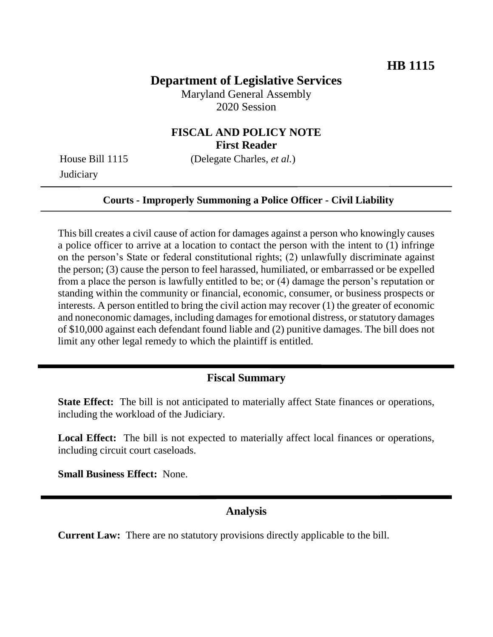# **Department of Legislative Services**

Maryland General Assembly 2020 Session

# **FISCAL AND POLICY NOTE First Reader**

**Judiciary** 

House Bill 1115 (Delegate Charles, *et al.*)

#### **Courts - Improperly Summoning a Police Officer - Civil Liability**

This bill creates a civil cause of action for damages against a person who knowingly causes a police officer to arrive at a location to contact the person with the intent to (1) infringe on the person's State or federal constitutional rights; (2) unlawfully discriminate against the person; (3) cause the person to feel harassed, humiliated, or embarrassed or be expelled from a place the person is lawfully entitled to be; or (4) damage the person's reputation or standing within the community or financial, economic, consumer, or business prospects or interests. A person entitled to bring the civil action may recover (1) the greater of economic and noneconomic damages, including damages for emotional distress, or statutory damages of \$10,000 against each defendant found liable and (2) punitive damages. The bill does not limit any other legal remedy to which the plaintiff is entitled.

### **Fiscal Summary**

**State Effect:** The bill is not anticipated to materially affect State finances or operations, including the workload of the Judiciary.

**Local Effect:** The bill is not expected to materially affect local finances or operations, including circuit court caseloads.

**Small Business Effect:** None.

### **Analysis**

**Current Law:** There are no statutory provisions directly applicable to the bill.